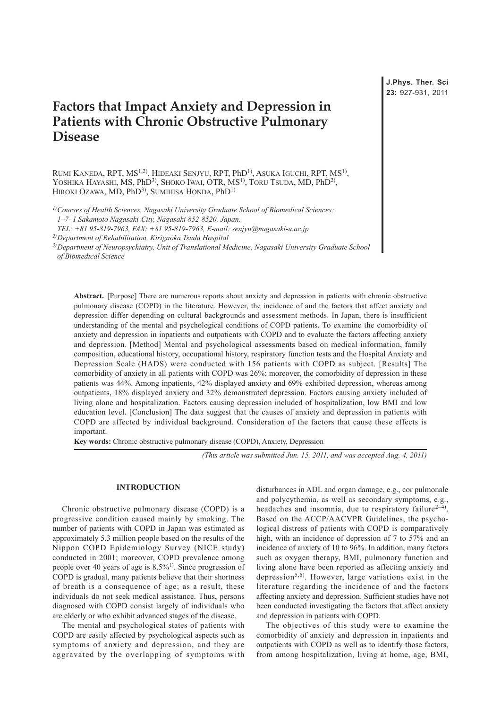# **Factors that Impact Anxiety and Depression in Patients with Chronic Obstructive Pulmonary Disease**

RUMI KANEDA, RPT, MS<sup>1,2)</sup>, HIDEAKI SENJYU, RPT, PhD<sup>1)</sup>, ASUKA IGUCHI, RPT, MS<sup>1)</sup>, YOSHIKA HAYASHI, MS, PhD<sup>3)</sup>, SHOKO IWAI, OTR, MS<sup>1)</sup>, TORU TSUDA, MD, PhD<sup>2)</sup>, HIROKI OZAWA, MD, PhD<sup>3)</sup>, SUMIHISA HONDA, PhD<sup>1)</sup>

*1)Courses of Health Sciences, Nagasaki University Graduate School of Biomedical Sciences:* 

*1–7–1 Sakamoto Nagasaki-City, Nagasaki 852-8520, Japan.* 

*TEL: +81 95-819-7963, FAX: +81 95-819-7963, E-mail: senjyu@nagasaki-u.ac.jp* 

*2)Department of Rehabilitation, Kirigaoka Tsuda Hospital*

*3)Department of Neuropsychiatry, Unit of Translational Medicine, Nagasaki University Graduate School of Biomedical Science*

**Abstract.** [Purpose] There are numerous reports about anxiety and depression in patients with chronic obstructive pulmonary disease (COPD) in the literature. However, the incidence of and the factors that affect anxiety and depression differ depending on cultural backgrounds and assessment methods. In Japan, there is insufficient understanding of the mental and psychological conditions of COPD patients. To examine the comorbidity of anxiety and depression in inpatients and outpatients with COPD and to evaluate the factors affecting anxiety and depression. [Method] Mental and psychological assessments based on medical information, family composition, educational history, occupational history, respiratory function tests and the Hospital Anxiety and Depression Scale (HADS) were conducted with 156 patients with COPD as subject. [Results] The comorbidity of anxiety in all patients with COPD was 26%; moreover, the comorbidity of depression in these patients was 44%. Among inpatients, 42% displayed anxiety and 69% exhibited depression, whereas among outpatients, 18% displayed anxiety and 32% demonstrated depression. Factors causing anxiety included of living alone and hospitalization. Factors causing depression included of hospitalization, low BMI and low education level. [Conclusion] The data suggest that the causes of anxiety and depression in patients with COPD are affected by individual background. Consideration of the factors that cause these effects is important.

**Key words:** Chronic obstructive pulmonary disease (COPD), Anxiety, Depression

*(This article was submitted Jun. 15, 2011, and was accepted Aug. 4, 2011)*

## **INTRODUCTION**

Chronic obstructive pulmonary disease (COPD) is a progressive condition caused mainly by smoking. The number of patients with COPD in Japan was estimated as approximately 5.3 million people based on the results of the Nippon COPD Epidemiology Survey (NICE study) conducted in 2001; moreover, COPD prevalence among people over 40 years of age is  $8.5\%$ <sup>1)</sup>. Since progression of COPD is gradual, many patients believe that their shortness of breath is a consequence of age; as a result, these individuals do not seek medical assistance. Thus, persons diagnosed with COPD consist largely of individuals who are elderly or who exhibit advanced stages of the disease.

The mental and psychological states of patients with COPD are easily affected by psychological aspects such as symptoms of anxiety and depression, and they are aggravated by the overlapping of symptoms with disturbances in ADL and organ damage, e.g., cor pulmonale and polycythemia, as well as secondary symptoms, e.g., headaches and insomnia, due to respiratory failure<sup>2-4)</sup>. Based on the ACCP/AACVPR Guidelines, the psychological distress of patients with COPD is comparatively high, with an incidence of depression of 7 to 57% and an incidence of anxiety of 10 to 96%. In addition, many factors such as oxygen therapy, BMI, pulmonary function and living alone have been reported as affecting anxiety and depression<sup>5,6)</sup>. However, large variations exist in the literature regarding the incidence of and the factors affecting anxiety and depression. Sufficient studies have not been conducted investigating the factors that affect anxiety and depression in patients with COPD.

The objectives of this study were to examine the comorbidity of anxiety and depression in inpatients and outpatients with COPD as well as to identify those factors, from among hospitalization, living at home, age, BMI,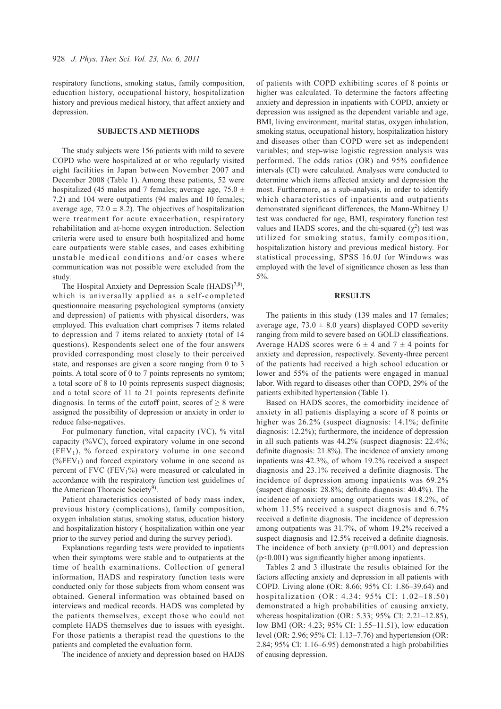respiratory functions, smoking status, family composition, education history, occupational history, hospitalization history and previous medical history, that affect anxiety and depression.

#### **SUBJECTS AND METHODS**

The study subjects were 156 patients with mild to severe COPD who were hospitalized at or who regularly visited eight facilities in Japan between November 2007 and December 2008 (Table 1). Among these patients, 52 were hospitalized (45 males and 7 females; average age,  $75.0 \pm$ 7.2) and 104 were outpatients (94 males and 10 females; average age,  $72.0 \pm 8.2$ ). The objectives of hospitalization were treatment for acute exacerbation, respiratory rehabilitation and at-home oxygen introduction. Selection criteria were used to ensure both hospitalized and home care outpatients were stable cases, and cases exhibiting unstable medical conditions and/or cases where communication was not possible were excluded from the study.

The Hospital Anxiety and Depression Scale  $(HADS)^{7,8}$ , which is universally applied as a self-completed questionnaire measuring psychological symptoms (anxiety and depression) of patients with physical disorders, was employed. This evaluation chart comprises 7 items related to depression and 7 items related to anxiety (total of 14 questions). Respondents select one of the four answers provided corresponding most closely to their perceived state, and responses are given a score ranging from 0 to 3 points. A total score of 0 to 7 points represents no symtom; a total score of 8 to 10 points represents suspect diagnosis; and a total score of 11 to 21 points represents definite diagnosis. In terms of the cutoff point, scores of  $\geq 8$  were assigned the possibility of depression or anxiety in order to reduce false-negatives.

For pulmonary function, vital capacity (VC), % vital capacity (%VC), forced expiratory volume in one second  $(FEV<sub>1</sub>)$ , % forced expiratory volume in one second  $(\%FEV_1)$  and forced expiratory volume in one second as percent of FVC (FEV $1\%$ ) were measured or calculated in accordance with the respiratory function test guidelines of the American Thoracic Society<sup>9)</sup>.

Patient characteristics consisted of body mass index, previous history (complications), family composition, oxygen inhalation status, smoking status, education history and hospitalization history ( hospitalization within one year prior to the survey period and during the survey period).

Explanations regarding tests were provided to inpatients when their symptoms were stable and to outpatients at the time of health examinations. Collection of general information, HADS and respiratory function tests were conducted only for those subjects from whom consent was obtained. General information was obtained based on interviews and medical records. HADS was completed by the patients themselves, except those who could not complete HADS themselves due to issues with eyesight. For those patients a therapist read the questions to the patients and completed the evaluation form.

The incidence of anxiety and depression based on HADS

of patients with COPD exhibiting scores of 8 points or higher was calculated. To determine the factors affecting anxiety and depression in inpatients with COPD, anxiety or depression was assigned as the dependent variable and age, BMI, living environment, marital status, oxygen inhalation, smoking status, occupational history, hospitalization history and diseases other than COPD were set as independent variables; and step-wise logistic regression analysis was performed. The odds ratios (OR) and 95% confidence intervals (CI) were calculated. Analyses were conducted to determine which items affected anxiety and depression the most. Furthermore, as a sub-analysis, in order to identify which characteristics of inpatients and outpatients demonstrated significant differences, the Mann-Whitney U test was conducted for age, BMI, respiratory function test values and HADS scores, and the chi-squared  $(\chi^2)$  test was utilized for smoking status, family composition, hospitalization history and previous medical history. For statistical processing, SPSS 16.0J for Windows was employed with the level of significance chosen as less than 5%.

### **RESULTS**

The patients in this study (139 males and 17 females; average age,  $73.0 \pm 8.0$  years) displayed COPD severity ranging from mild to severe based on GOLD classifications. Average HADS scores were  $6 \pm 4$  and  $7 \pm 4$  points for anxiety and depression, respectively. Seventy-three percent of the patients had received a high school education or lower and 55% of the patients were engaged in manual labor. With regard to diseases other than COPD, 29% of the patients exhibited hypertension (Table 1).

Based on HADS scores, the comorbidity incidence of anxiety in all patients displaying a score of 8 points or higher was 26.2% (suspect diagnosis: 14.1%; definite diagnosis: 12.2%); furthermore, the incidence of depression in all such patients was 44.2% (suspect diagnosis: 22.4%; definite diagnosis: 21.8%). The incidence of anxiety among inpatients was 42.3%, of whom 19.2% received a suspect diagnosis and 23.1% received a definite diagnosis. The incidence of depression among inpatients was 69.2% (suspect diagnosis: 28.8%; definite diagnosis: 40.4%). The incidence of anxiety among outpatients was 18.2%, of whom 11.5% received a suspect diagnosis and 6.7% received a definite diagnosis. The incidence of depression among outpatients was 31.7%, of whom 19.2% received a suspect diagnosis and 12.5% received a definite diagnosis. The incidence of both anxiety  $(p=0.001)$  and depression (p<0.001) was significantly higher among inpatients.

Tables 2 and 3 illustrate the results obtained for the factors affecting anxiety and depression in all patients with COPD. Living alone (OR: 8.66; 95% CI: 1.86–39.64) and hospitalization (OR: 4.34; 95% CI: 1.02–18.50) demonstrated a high probabilities of causing anxiety, whereas hospitalization (OR: 5.33; 95% CI: 2.21–12.85), low BMI (OR: 4.23; 95% CI: 1.55–11.51), low education level (OR: 2.96; 95% CI: 1.13–7.76) and hypertension (OR: 2.84; 95% CI: 1.16–6.95) demonstrated a high probabilities of causing depression.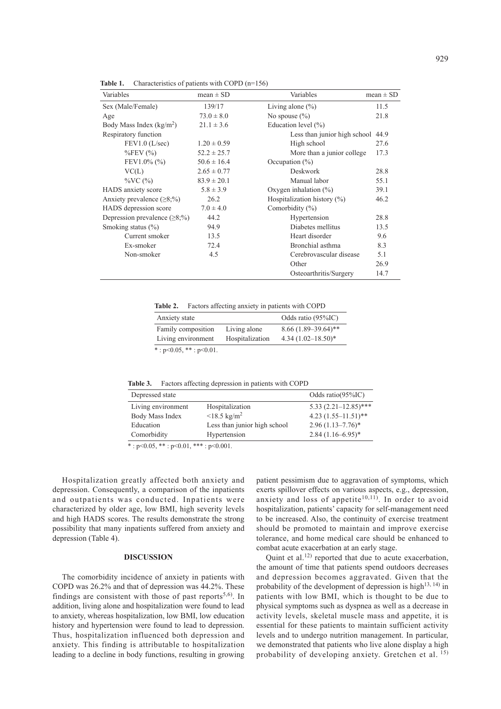| Variables                            | mean $\pm$ SD   | Variables                              | $mean \pm SD$ |
|--------------------------------------|-----------------|----------------------------------------|---------------|
| Sex (Male/Female)                    | 139/17          | Living alone $(\%)$                    | 11.5          |
| Age                                  | $73.0 \pm 8.0$  | No spouse $(\% )$                      | 21.8          |
| Body Mass Index $(kg/m2)$            | $21.1 \pm 3.6$  | Education level $(\% )$                |               |
| Respiratory function                 |                 | Less than junior high school           | 44.9          |
| FEV1.0 (L/sec)                       | $1.20 \pm 0.59$ | High school                            | 27.6          |
| $\%$ FEV $(\%)$                      | $52.2 \pm 25.7$ | More than a junior college.            | 17.3          |
| FEV1.0% $(\% )$                      | $50.6 \pm 16.4$ | Occupation $(\%)$                      |               |
| VC(L)                                | $2.65 \pm 0.77$ | <b>Deskwork</b>                        | 28.8          |
| $\%VC$ (%)                           | $83.9 \pm 20.1$ | Manual labor                           | 55.1          |
| HADS anxiety score                   | $5.8 \pm 3.9$   | Oxygen inhalation $(\%)$               | 39.1          |
| Anxiety prevalence $(\geq 8; \%)$    | 26.2            | 46.2<br>Hospitalization history $(\%)$ |               |
| HADS depression score                | $7.0 \pm 4.0$   | Comorbidity $(\% )$                    |               |
| Depression prevalence $(\geq 8; \%)$ | 44.2            | Hypertension                           | 28.8          |
| Smoking status $(\% )$               | 94.9            | Diabetes mellitus                      | 13.5          |
| Current smoker                       | 13.5            | Heart disorder                         | 9.6           |
| Ex-smoker                            | 72.4            | Bronchial asthma                       | 8.3           |
| Non-smoker                           | 4.5             | Cerebrovascular disease                | 5.1           |
|                                      |                 | Other                                  | 26.9          |
|                                      |                 | Osteoarthritis/Surgery                 | 14.7          |

Table 1. Characteristics of patients with COPD (n=156)

**Table 2.** Factors affecting anxiety in patients with COPD

| Anxiety state                            |                                 | Odds ratio (95%IC)                               |
|------------------------------------------|---------------------------------|--------------------------------------------------|
| Family composition<br>Living environment | Living alone<br>Hospitalization | $8.66(1.89-39.64)$ **<br>4.34 $(1.02 - 18.50)^*$ |
| *: $p<0.05$ , **: $p<0.01$ .             |                                 |                                                  |

**Table 3.** Factors affecting depression in patients with COPD

| Depressed state    |                              | Odds ratio $(95\%$ IC)   |
|--------------------|------------------------------|--------------------------|
| Living environment | Hospitalization              | $5.33(2.21 - 12.85)$ *** |
| Body Mass Index    | $< 18.5 \text{ kg/m}^2$      | $4.23(1.55-11.51)$ **    |
| Education          | Less than junior high school | $2.96(1.13 - 7.76)^*$    |
| Comorbidity        | Hypertension                 | $2.84(1.16-6.95)^{*}$    |

 $* : p < 0.05, ** : p < 0.01, ** : p < 0.001.$ 

Hospitalization greatly affected both anxiety and depression. Consequently, a comparison of the inpatients and outpatients was conducted. Inpatients were characterized by older age, low BMI, high severity levels and high HADS scores. The results demonstrate the strong possibility that many inpatients suffered from anxiety and depression (Table 4).

#### **DISCUSSION**

The comorbidity incidence of anxiety in patients with COPD was 26.2% and that of depression was 44.2%. These findings are consistent with those of past reports<sup>5,6)</sup>. In addition, living alone and hospitalization were found to lead to anxiety, whereas hospitalization, low BMI, low education history and hypertension were found to lead to depression. Thus, hospitalization influenced both depression and anxiety. This finding is attributable to hospitalization leading to a decline in body functions, resulting in growing patient pessimism due to aggravation of symptoms, which exerts spillover effects on various aspects, e.g., depression, anxiety and loss of appetite<sup>10,11</sup>). In order to avoid hospitalization, patients' capacity for self-management need to be increased. Also, the continuity of exercise treatment should be promoted to maintain and improve exercise tolerance, and home medical care should be enhanced to combat acute exacerbation at an early stage.

Quint et al.<sup>12)</sup> reported that due to acute exacerbation, the amount of time that patients spend outdoors decreases and depression becomes aggravated. Given that the probability of the development of depression is high<sup>13, 14)</sup> in patients with low BMI, which is thought to be due to physical symptoms such as dyspnea as well as a decrease in activity levels, skeletal muscle mass and appetite, it is essential for these patients to maintain sufficient activity levels and to undergo nutrition management. In particular, we demonstrated that patients who live alone display a high probability of developing anxiety. Gretchen et al. 15)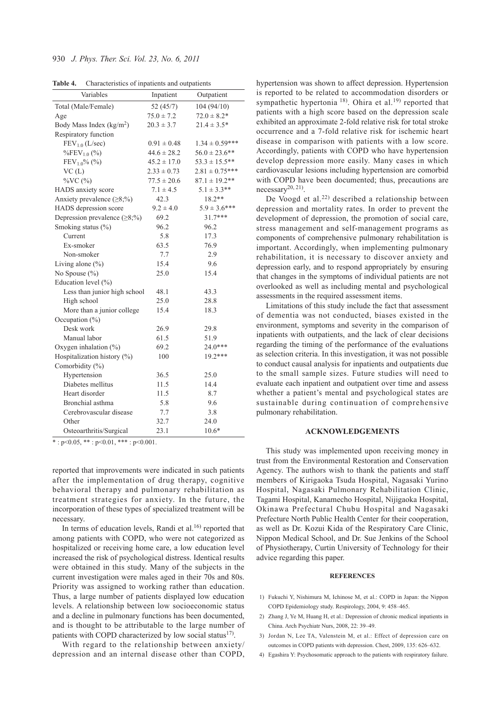| Table 4. |  |  | Characteristics of inpatients and outpatients |
|----------|--|--|-----------------------------------------------|
|----------|--|--|-----------------------------------------------|

| Variables                            | Inpatient       | Outpatient         |
|--------------------------------------|-----------------|--------------------|
| Total (Male/Female)                  | 52(45/7)        | 104 (94/10)        |
| Age                                  | $75.0 \pm 7.2$  | $72.0 \pm 8.2*$    |
| Body Mass Index ( $\text{kg/m}^2$ )  | $20.3 \pm 3.7$  | $21.4 \pm 3.5*$    |
| Respiratory function                 |                 |                    |
| FEV <sub>1.0</sub> (L/sec)           | $0.91 \pm 0.48$ | $1.34 \pm 0.59***$ |
| $\%$ FEV <sub>1.0</sub> (%)          | $44.6 \pm 28.2$ | $56.0 \pm 23.6$ ** |
| $FEV10% (\frac{6}{6}$                | $45.2 \pm 17.0$ | $53.3 \pm 15.5***$ |
| VC(L)                                | $2.33 \pm 0.73$ | $2.81 \pm 0.75***$ |
| %VC (%)                              | $77.5 \pm 20.6$ | $87.1 \pm 19.2$ ** |
| HADS anxiety score                   | $7.1 \pm 4.5$   | $5.1 \pm 3.3$ **   |
| Anxiety prevalence $(\geq 8; \%)$    | 42.3            | $18.2**$           |
| HADS depression score                | $9.2 \pm 4.0$   | $5.9 \pm 3.6$ ***  |
| Depression prevalence $(\geq 8; \%)$ | 69.2            | $31.7***$          |
| Smoking status (%)                   | 96.2            | 96.2               |
| Current                              | 5.8             | 17.3               |
| Ex-smoker                            | 63.5            | 76.9               |
| Non-smoker                           | 7.7             | 2.9                |
| Living alone $(\% )$                 | 15.4            | 9.6                |
| No Spouse $(\% )$                    | 25.0            | 15.4               |
| Education level (%)                  |                 |                    |
| Less than junior high school         | 48.1            | 43.3               |
| High school                          | 25.0            | 28.8               |
| More than a junior college           | 15.4            | 18.3               |
| Occupation (%)                       |                 |                    |
| Desk work                            | 26.9            | 29.8               |
| Manual labor                         | 61.5            | 51.9               |
| Oxygen inhalation $(\%)$             | 69.2            | 24.0***            |
| Hospitalization history (%)          | 100             | $19.2***$          |
| Comorbidity (%)                      |                 |                    |
| Hypertension                         | 36.5            | 25.0               |
| Diabetes mellitus                    | 11.5            | 14.4               |
| Heart disorder                       | 11.5            | 8.7                |
| Bronchial asthma                     | 5.8             | 9.6                |
| Cerebrovascular disease              | 7.7             | 3.8                |
| Other                                | 32.7            | 24.0               |
| Osteoarthritis/Surgical              | 23.1            | $10.6*$            |

 $*$ : p<0.05,  $**$ : p<0.01,  $***$ : p<0.001.

reported that improvements were indicated in such patients after the implementation of drug therapy, cognitive behavioral therapy and pulmonary rehabilitation as treatment strategies for anxiety. In the future, the incorporation of these types of specialized treatment will be necessary.

In terms of education levels, Randi et al. $16$  reported that among patients with COPD, who were not categorized as hospitalized or receiving home care, a low education level increased the risk of psychological distress. Identical results were obtained in this study. Many of the subjects in the current investigation were males aged in their 70s and 80s. Priority was assigned to working rather than education. Thus, a large number of patients displayed low education levels. A relationship between low socioeconomic status and a decline in pulmonary functions has been documented, and is thought to be attributable to the large number of patients with COPD characterized by low social status $^{17}$ .

With regard to the relationship between anxiety/ depression and an internal disease other than COPD, hypertension was shown to affect depression. Hypertension is reported to be related to accommodation disorders or sympathetic hypertonia<sup>18)</sup>. Ohira et al.<sup>19)</sup> reported that patients with a high score based on the depression scale exhibited an approximate 2-fold relative risk for total stroke occurrence and a 7-fold relative risk for ischemic heart disease in comparison with patients with a low score. Accordingly, patients with COPD who have hypertension develop depression more easily. Many cases in which cardiovascular lesions including hypertension are comorbid with COPD have been documented; thus, precautions are  $necessary<sup>20, 21</sup>$ .

De Voogd et al.<sup>22)</sup> described a relationship between depression and mortality rates. In order to prevent the development of depression, the promotion of social care, stress management and self-management programs as components of comprehensive pulmonary rehabilitation is important. Accordingly, when implementing pulmonary rehabilitation, it is necessary to discover anxiety and depression early, and to respond appropriately by ensuring that changes in the symptoms of individual patients are not overlooked as well as including mental and psychological assessments in the required assessment items.

Limitations of this study include the fact that assessment of dementia was not conducted, biases existed in the environment, symptoms and severity in the comparison of inpatients with outpatients, and the lack of clear decisions regarding the timing of the performance of the evaluations as selection criteria. In this investigation, it was not possible to conduct causal analysis for inpatients and outpatients due to the small sample sizes. Future studies will need to evaluate each inpatient and outpatient over time and assess whether a patient's mental and psychological states are sustainable during continuation of comprehensive pulmonary rehabilitation.

#### **ACKNOWLEDGEMENTS**

This study was implemented upon receiving money in trust from the Environmental Restoration and Conservation Agency. The authors wish to thank the patients and staff members of Kirigaoka Tsuda Hospital, Nagasaki Yurino Hospital, Nagasaki Pulmonary Rehabilitation Clinic, Tagami Hospital, Kanamecho Hospital, Nijigaoka Hospital, Okinawa Prefectural Chubu Hospital and Nagasaki Prefecture North Public Health Center for their cooperation, as well as Dr. Kozui Kida of the Respiratory Care Clinic, Nippon Medical School, and Dr. Sue Jenkins of the School of Physiotherapy, Curtin University of Technology for their advice regarding this paper.

#### **REFERENCES**

- 1) Fukuchi Y, Nishimura M, Ichinose M, et al.: COPD in Japan: the Nippon COPD Epidemiology study. Respirology, 2004, 9: 458–465.
- 2) Zhang J, Ye M, Huang H, et al.: Depression of chronic medical inpatients in China. Arch Psychiatr Nurs, 2008, 22: 39–49.
- 3) Jordan N, Lee TA, Valenstein M, et al.: Effect of depression care on outcomes in COPD patients with depression. Chest, 2009, 135: 626–632.
- 4) Egashira Y: Psychosomatic approach to the patients with respiratory failure.